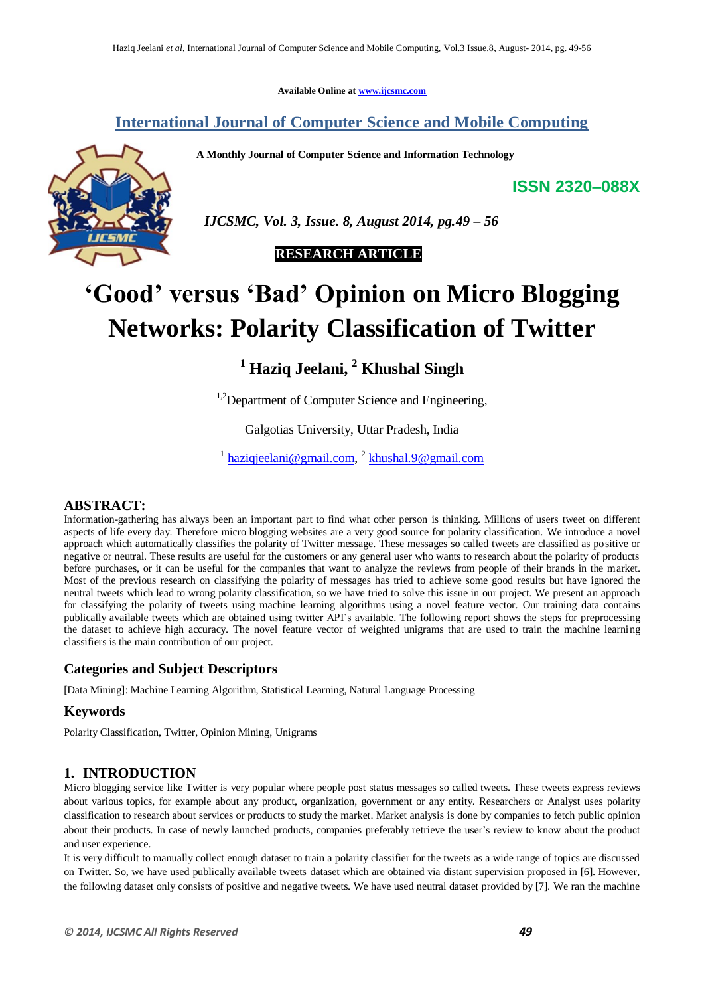**Available Online at www.ijcsmc.com**

# **International Journal of Computer Science and Mobile Computing**

 **A Monthly Journal of Computer Science and Information Technology**

**ISSN 2320–088X**



 *IJCSMC, Vol. 3, Issue. 8, August 2014, pg.49 – 56*



# **"Good" versus "Bad" Opinion on Micro Blogging Networks: Polarity Classification of Twitter**

**<sup>1</sup> Haziq Jeelani, <sup>2</sup> Khushal Singh**

<sup>1,2</sup>Department of Computer Science and Engineering,

Galgotias University, Uttar Pradesh, India

<sup>1</sup> haziqjeelani@gmail.com, <sup>2</sup> khushal.9@gmail.com

## **ABSTRACT:**

Information-gathering has always been an important part to find what other person is thinking. Millions of users tweet on different aspects of life every day. Therefore micro blogging websites are a very good source for polarity classification. We introduce a novel approach which automatically classifies the polarity of Twitter message. These messages so called tweets are classified as positive or negative or neutral. These results are useful for the customers or any general user who wants to research about the polarity of products before purchases, or it can be useful for the companies that want to analyze the reviews from people of their brands in the market. Most of the previous research on classifying the polarity of messages has tried to achieve some good results but have ignored the neutral tweets which lead to wrong polarity classification, so we have tried to solve this issue in our project. We present an approach for classifying the polarity of tweets using machine learning algorithms using a novel feature vector. Our training data contains publically available tweets which are obtained using twitter API"s available. The following report shows the steps for preprocessing the dataset to achieve high accuracy. The novel feature vector of weighted unigrams that are used to train the machine learning classifiers is the main contribution of our project.

## **Categories and Subject Descriptors**

[Data Mining]: Machine Learning Algorithm, Statistical Learning, Natural Language Processing

## **Keywords**

Polarity Classification, Twitter, Opinion Mining, Unigrams

## **1. INTRODUCTION**

Micro blogging service like Twitter is very popular where people post status messages so called tweets. These tweets express reviews about various topics, for example about any product, organization, government or any entity. Researchers or Analyst uses polarity classification to research about services or products to study the market. Market analysis is done by companies to fetch public opinion about their products. In case of newly launched products, companies preferably retrieve the user"s review to know about the product and user experience.

It is very difficult to manually collect enough dataset to train a polarity classifier for the tweets as a wide range of topics are discussed on Twitter. So, we have used publically available tweets dataset which are obtained via distant supervision proposed in [6]. However, the following dataset only consists of positive and negative tweets. We have used neutral dataset provided by [7]. We ran the machine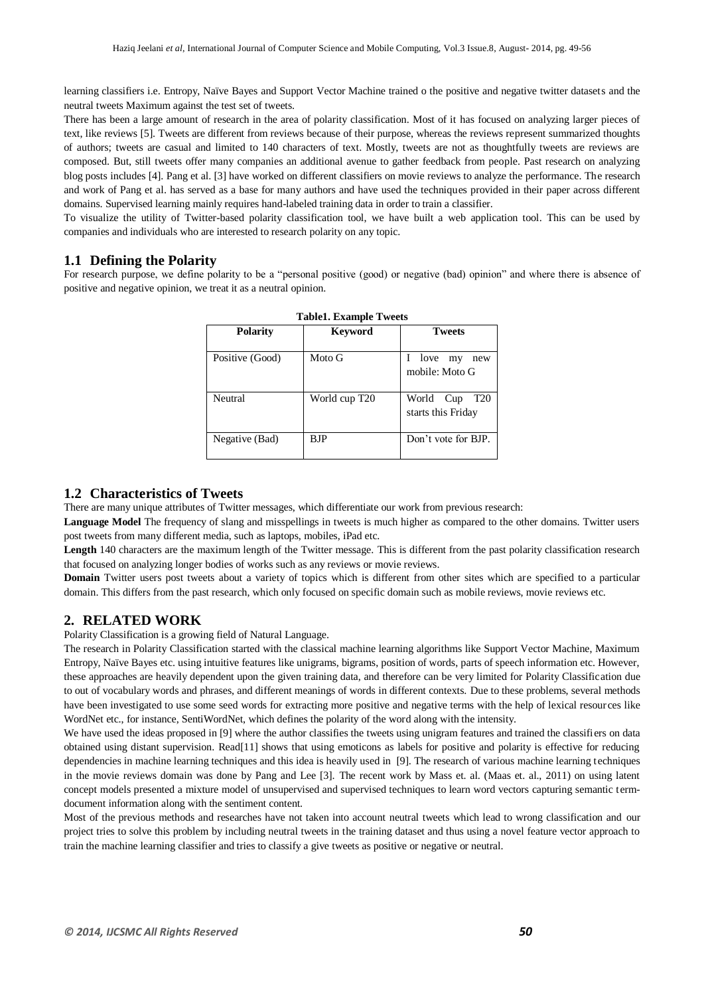learning classifiers i.e. Entropy, Naïve Bayes and Support Vector Machine trained o the positive and negative twitter datasets and the neutral tweets Maximum against the test set of tweets.

There has been a large amount of research in the area of polarity classification. Most of it has focused on analyzing larger pieces of text, like reviews [5]. Tweets are different from reviews because of their purpose, whereas the reviews represent summarized thoughts of authors; tweets are casual and limited to 140 characters of text. Mostly, tweets are not as thoughtfully tweets are reviews are composed. But, still tweets offer many companies an additional avenue to gather feedback from people. Past research on analyzing blog posts includes [4]. Pang et al. [3] have worked on different classifiers on movie reviews to analyze the performance. The research and work of Pang et al. has served as a base for many authors and have used the techniques provided in their paper across different domains. Supervised learning mainly requires hand-labeled training data in order to train a classifier.

To visualize the utility of Twitter-based polarity classification tool, we have built a web application tool. This can be used by companies and individuals who are interested to research polarity on any topic.

## **1.1 Defining the Polarity**

For research purpose, we define polarity to be a "personal positive (good) or negative (bad) opinion" and where there is absence of positive and negative opinion, we treat it as a neutral opinion.

| <b>Table1. Example Tweets</b> |                |                                                       |  |
|-------------------------------|----------------|-------------------------------------------------------|--|
| <b>Polarity</b>               | <b>Keyword</b> | <b>Tweets</b>                                         |  |
| Positive (Good)               | Moto G         | love<br>my<br>new<br>mobile: Moto G                   |  |
| Neutral                       | World cup T20  | World<br>Cup<br>T <sub>20</sub><br>starts this Friday |  |
| Negative (Bad)                | B.IP           | Don't vote for BJP.                                   |  |

## **1.2 Characteristics of Tweets**

There are many unique attributes of Twitter messages, which differentiate our work from previous research:

**Language Model** The frequency of slang and misspellings in tweets is much higher as compared to the other domains. Twitter users post tweets from many different media, such as laptops, mobiles, iPad etc.

**Length** 140 characters are the maximum length of the Twitter message. This is different from the past polarity classification research that focused on analyzing longer bodies of works such as any reviews or movie reviews.

**Domain** Twitter users post tweets about a variety of topics which is different from other sites which are specified to a particular domain. This differs from the past research, which only focused on specific domain such as mobile reviews, movie reviews etc.

#### **2. RELATED WORK**

Polarity Classification is a growing field of Natural Language.

The research in Polarity Classification started with the classical machine learning algorithms like Support Vector Machine, Maximum Entropy, Naïve Bayes etc. using intuitive features like unigrams, bigrams, position of words, parts of speech information etc. However, these approaches are heavily dependent upon the given training data, and therefore can be very limited for Polarity Classification due to out of vocabulary words and phrases, and different meanings of words in different contexts. Due to these problems, several methods have been investigated to use some seed words for extracting more positive and negative terms with the help of lexical resources like WordNet etc., for instance, SentiWordNet, which defines the polarity of the word along with the intensity.

We have used the ideas proposed in [9] where the author classifies the tweets using unigram features and trained the classifiers on data obtained using distant supervision. Read[11] shows that using emoticons as labels for positive and polarity is effective for reducing dependencies in machine learning techniques and this idea is heavily used in [9]. The research of various machine learning techniques in the movie reviews domain was done by Pang and Lee [3]. The recent work by Mass et. al. (Maas et. al., 2011) on using latent concept models presented a mixture model of unsupervised and supervised techniques to learn word vectors capturing semantic termdocument information along with the sentiment content.

Most of the previous methods and researches have not taken into account neutral tweets which lead to wrong classification and our project tries to solve this problem by including neutral tweets in the training dataset and thus using a novel feature vector approach to train the machine learning classifier and tries to classify a give tweets as positive or negative or neutral.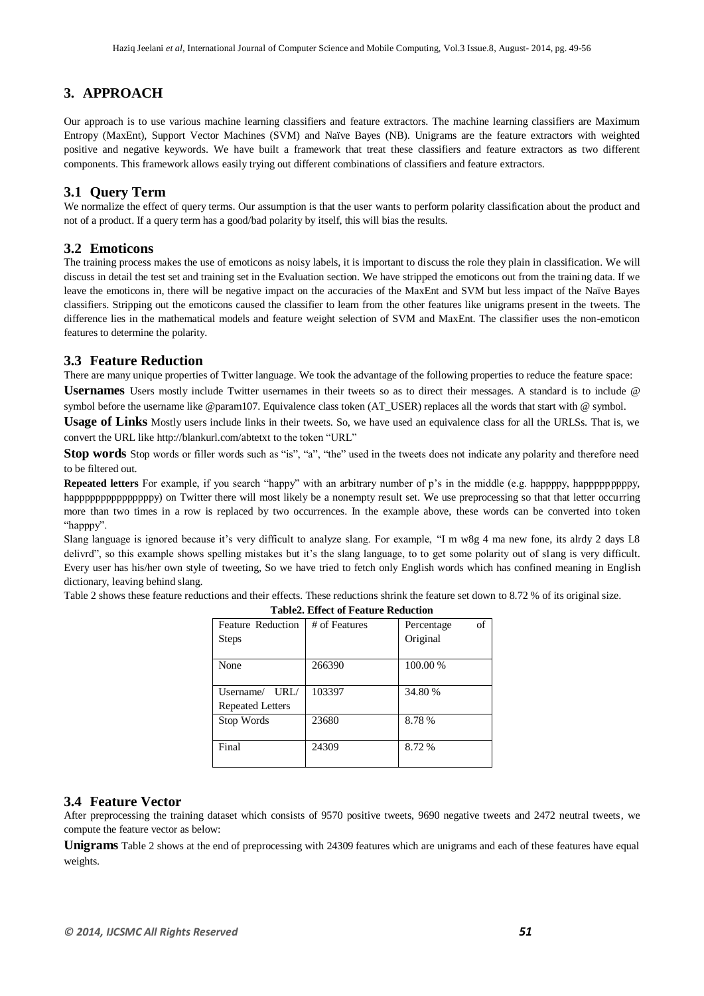## **3. APPROACH**

Our approach is to use various machine learning classifiers and feature extractors. The machine learning classifiers are Maximum Entropy (MaxEnt), Support Vector Machines (SVM) and Naïve Bayes (NB). Unigrams are the feature extractors with weighted positive and negative keywords. We have built a framework that treat these classifiers and feature extractors as two different components. This framework allows easily trying out different combinations of classifiers and feature extractors.

## **3.1 Query Term**

We normalize the effect of query terms. Our assumption is that the user wants to perform polarity classification about the product and not of a product. If a query term has a good/bad polarity by itself, this will bias the results.

#### **3.2 Emoticons**

The training process makes the use of emoticons as noisy labels, it is important to discuss the role they plain in classification. We will discuss in detail the test set and training set in the Evaluation section. We have stripped the emoticons out from the training data. If we leave the emoticons in, there will be negative impact on the accuracies of the MaxEnt and SVM but less impact of the Naïve Bayes classifiers. Stripping out the emoticons caused the classifier to learn from the other features like unigrams present in the tweets. The difference lies in the mathematical models and feature weight selection of SVM and MaxEnt. The classifier uses the non-emoticon features to determine the polarity.

#### **3.3 Feature Reduction**

There are many unique properties of Twitter language. We took the advantage of the following properties to reduce the feature space: **Usernames** Users mostly include Twitter usernames in their tweets so as to direct their messages. A standard is to include @ symbol before the username like @param107. Equivalence class token (AT\_USER) replaces all the words that start with @ symbol.

**Usage of Links** Mostly users include links in their tweets. So, we have used an equivalence class for all the URLSs. That is, we convert the URL lik[e http://blankurl.com/abtetxt](http://blankurl.com/abtetxt) to the token "URL"

**Stop words** Stop words or filler words such as "is", "a", "the" used in the tweets does not indicate any polarity and therefore need to be filtered out.

**Repeated letters** For example, if you search "happy" with an arbitrary number of p's in the middle (e.g. happppy, happppppppy, happpppppppppppppy) on Twitter there will most likely be a nonempty result set. We use preprocessing so that that letter occurring more than two times in a row is replaced by two occurrences. In the example above, these words can be converted into token "happpy".

Slang language is ignored because it's very difficult to analyze slang. For example, "I m w8g 4 ma new fone, its alrdy 2 days L8 delivrd", so this example shows spelling mistakes but it's the slang language, to to get some polarity out of slang is very difficult. Every user has his/her own style of tweeting, So we have tried to fetch only English words which has confined meaning in English dictionary, leaving behind slang.

Table 2 shows these feature reductions and their effects. These reductions shrink the feature set down to 8.72 % of its original size.

| <b>Feature Reduction</b> | # of Features | of<br>Percentage |  |
|--------------------------|---------------|------------------|--|
| <b>Steps</b>             |               | Original         |  |
|                          |               |                  |  |
| None                     | 266390        | 100.00 %         |  |
|                          |               |                  |  |
| Username/<br>URL/        | 103397        | 34.80 %          |  |
| <b>Repeated Letters</b>  |               |                  |  |
| Stop Words               | 23680         | 8.78%            |  |
|                          |               |                  |  |
| Final                    | 24309         | 8.72%            |  |
|                          |               |                  |  |

# **Table2. Effect of Feature Reduction**

#### **3.4 Feature Vector**

After preprocessing the training dataset which consists of 9570 positive tweets, 9690 negative tweets and 2472 neutral tweets, we compute the feature vector as below:

**Unigrams** Table 2 shows at the end of preprocessing with 24309 features which are unigrams and each of these features have equal weights.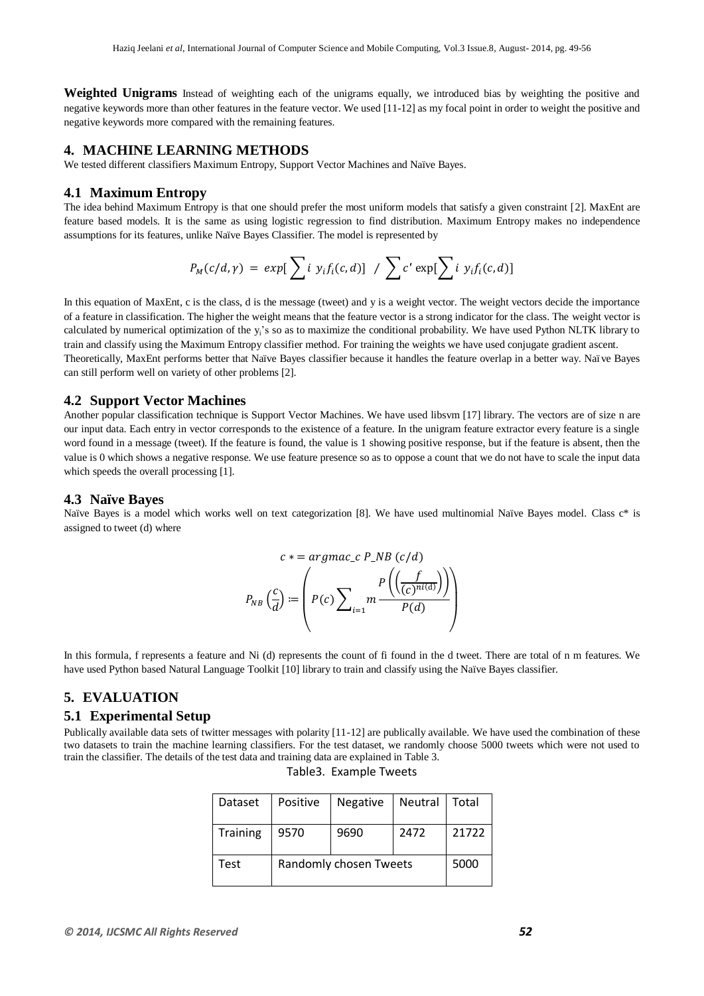**Weighted Unigrams** Instead of weighting each of the unigrams equally, we introduced bias by weighting the positive and negative keywords more than other features in the feature vector. We used [11-12] as my focal point in order to weight the positive and negative keywords more compared with the remaining features.

## **4. MACHINE LEARNING METHODS**

We tested different classifiers Maximum Entropy, Support Vector Machines and Naïve Bayes.

#### **4.1 Maximum Entropy**

The idea behind Maximum Entropy is that one should prefer the most uniform models that satisfy a given constraint [2]. MaxEnt are feature based models. It is the same as using logistic regression to find distribution. Maximum Entropy makes no independence assumptions for its features, unlike Naïve Bayes Classifier. The model is represented by

$$
P_M(c/d,\gamma) = exp[\sum i y_i f_i(c,d)] / \sum c' exp[\sum i y_i f_i(c,d)]
$$

In this equation of MaxEnt, c is the class, d is the message (tweet) and y is a weight vector. The weight vectors decide the importance of a feature in classification. The higher the weight means that the feature vector is a strong indicator for the class. The weight vector is calculated by numerical optimization of the y<sub>i</sub>'s so as to maximize the conditional probability. We have used Python NLTK library to train and classify using the Maximum Entropy classifier method. For training the weights we have used conjugate gradient ascent. Theoretically, MaxEnt performs better that Naïve Bayes classifier because it handles the feature overlap in a better way. Naïve Bayes can still perform well on variety of other problems [2].

#### **4.2 Support Vector Machines**

Another popular classification technique is Support Vector Machines. We have used libsvm [17] library. The vectors are of size n are our input data. Each entry in vector corresponds to the existence of a feature. In the unigram feature extractor every feature is a single word found in a message (tweet). If the feature is found, the value is 1 showing positive response, but if the feature is absent, then the value is 0 which shows a negative response. We use feature presence so as to oppose a count that we do not have to scale the input data which speeds the overall processing [1].

#### **4.3 Naïve Bayes**

Naïve Bayes is a model which works well on text categorization [8]. We have used multinomial Naïve Bayes model. Class  $c^*$  is assigned to tweet (d) where

$$
c * = argmac_c c P_N B (c/d)
$$

$$
P_{NB} \left(\frac{c}{d}\right) := \left(P(c) \sum_{i=1}^{n} m \frac{P\left(\left(\frac{f}{(c)^{ni(d)}}\right)\right)}{P(d)}\right)
$$

In this formula, f represents a feature and Ni (d) represents the count of fi found in the d tweet. There are total of n m features. We have used Python based Natural Language Toolkit [10] library to train and classify using the Naïve Bayes classifier.

## **5. EVALUATION**

## **5.1 Experimental Setup**

Publically available data sets of twitter messages with polarity [11-12] are publically available. We have used the combination of these two datasets to train the machine learning classifiers. For the test dataset, we randomly choose 5000 tweets which were not used to train the classifier. The details of the test data and training data are explained in Table 3.

| Dataset  | Positive               | <b>Negative</b> | Neutral   Total |       |
|----------|------------------------|-----------------|-----------------|-------|
| Training | 9570                   | 9690            | 2472            | 21722 |
| Test     | Randomly chosen Tweets |                 | 5000            |       |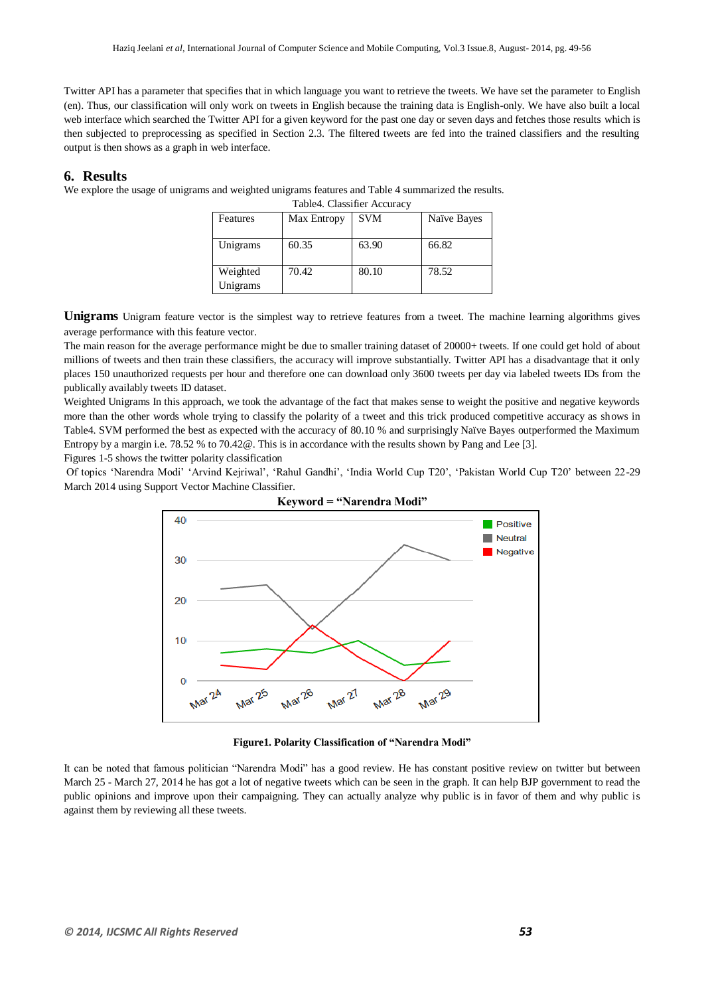Twitter API has a parameter that specifies that in which language you want to retrieve the tweets. We have set the parameter to English (en). Thus, our classification will only work on tweets in English because the training data is English-only. We have also built a local web interface which searched the Twitter API for a given keyword for the past one day or seven days and fetches those results which is then subjected to preprocessing as specified in Section 2.3. The filtered tweets are fed into the trained classifiers and the resulting output is then shows as a graph in web interface.

#### **6. Results**

We explore the usage of unigrams and weighted unigrams features and Table 4 summarized the results.

|  | Table4. Classifier Accuracy |  |
|--|-----------------------------|--|
|--|-----------------------------|--|

| Features             | Max Entropy | <b>SVM</b> | Naïve Bayes |
|----------------------|-------------|------------|-------------|
| Unigrams             | 60.35       | 63.90      | 66.82       |
| Weighted<br>Unigrams | 70.42       | 80.10      | 78.52       |

**Unigrams** Unigram feature vector is the simplest way to retrieve features from a tweet. The machine learning algorithms gives average performance with this feature vector.

The main reason for the average performance might be due to smaller training dataset of 20000+ tweets. If one could get hold of about millions of tweets and then train these classifiers, the accuracy will improve substantially. Twitter API has a disadvantage that it only places 150 unauthorized requests per hour and therefore one can download only 3600 tweets per day via labeled tweets IDs from the publically availably tweets ID dataset.

Weighted Unigrams In this approach, we took the advantage of the fact that makes sense to weight the positive and negative keywords more than the other words whole trying to classify the polarity of a tweet and this trick produced competitive accuracy as shows in Table4. SVM performed the best as expected with the accuracy of 80.10 % and surprisingly Naïve Bayes outperformed the Maximum Entropy by a margin i.e. 78.52 % to 70.42@. This is in accordance with the results shown by Pang and Lee [3].

Figures 1-5 shows the twitter polarity classification

Of topics "Narendra Modi" "Arvind Kejriwal", "Rahul Gandhi", "India World Cup T20", "Pakistan World Cup T20" between 22-29 March 2014 using Support Vector Machine Classifier.



**Figure1. Polarity Classification of "Narendra Modi"**

It can be noted that famous politician "Narendra Modi" has a good review. He has constant positive review on twitter but between March 25 - March 27, 2014 he has got a lot of negative tweets which can be seen in the graph. It can help BJP government to read the public opinions and improve upon their campaigning. They can actually analyze why public is in favor of them and why public is against them by reviewing all these tweets.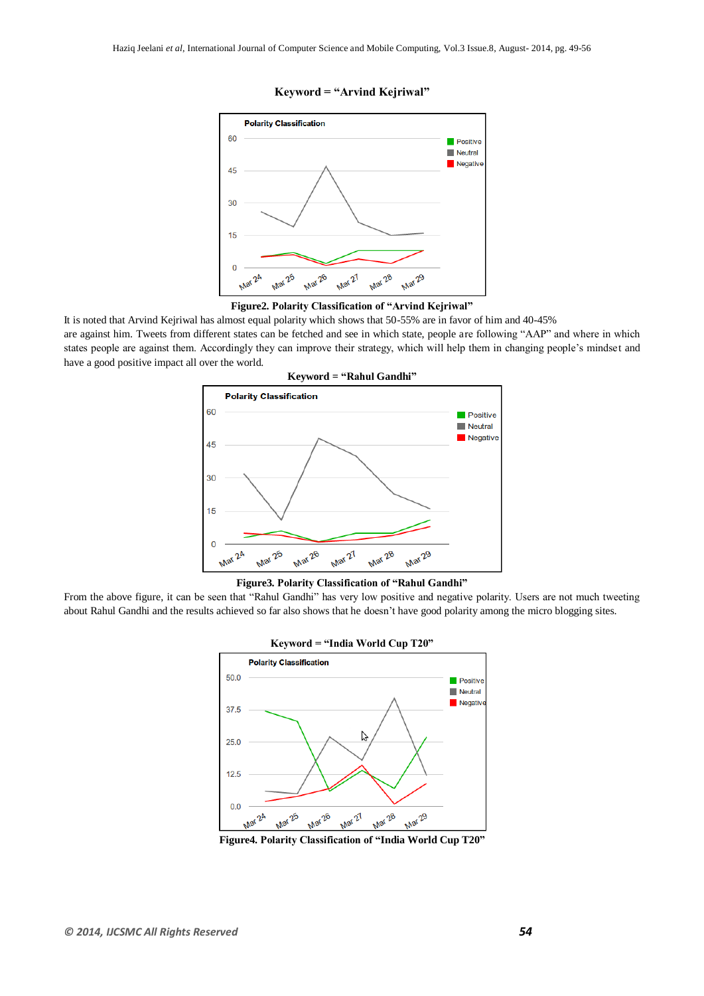

#### **Keyword = "Arvind Kejriwal"**

#### **Figure2. Polarity Classification of "Arvind Kejriwal"**

It is noted that Arvind Kejriwal has almost equal polarity which shows that 50-55% are in favor of him and 40-45% are against him. Tweets from different states can be fetched and see in which state, people are following "AAP" and where in which states people are against them. Accordingly they can improve their strategy, which will help them in changing people"s mindset and have a good positive impact all over the world.



**Keyword = "Rahul Gandhi"**

**Figure3. Polarity Classification of "Rahul Gandhi"**

From the above figure, it can be seen that "Rahul Gandhi" has very low positive and negative polarity. Users are not much tweeting about Rahul Gandhi and the results achieved so far also shows that he doesn't have good polarity among the micro blogging sites.



**Figure4. Polarity Classification of "India World Cup T20"**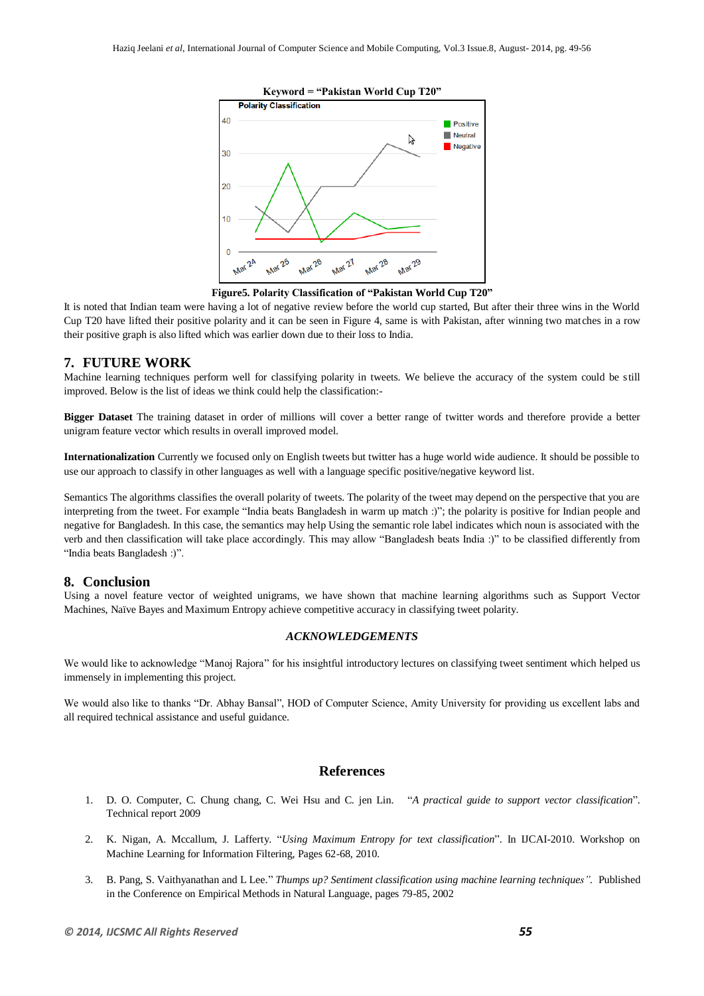

**Figure5. Polarity Classification of "Pakistan World Cup T20"**

It is noted that Indian team were having a lot of negative review before the world cup started, But after their three wins in the World Cup T20 have lifted their positive polarity and it can be seen in Figure 4, same is with Pakistan, after winning two matches in a row their positive graph is also lifted which was earlier down due to their loss to India.

## **7. FUTURE WORK**

Machine learning techniques perform well for classifying polarity in tweets. We believe the accuracy of the system could be still improved. Below is the list of ideas we think could help the classification:-

**Bigger Dataset** The training dataset in order of millions will cover a better range of twitter words and therefore provide a better unigram feature vector which results in overall improved model.

**Internationalization** Currently we focused only on English tweets but twitter has a huge world wide audience. It should be possible to use our approach to classify in other languages as well with a language specific positive/negative keyword list.

Semantics The algorithms classifies the overall polarity of tweets. The polarity of the tweet may depend on the perspective that you are interpreting from the tweet. For example "India beats Bangladesh in warm up match :)"; the polarity is positive for Indian people and negative for Bangladesh. In this case, the semantics may help Using the semantic role label indicates which noun is associated with the verb and then classification will take place accordingly. This may allow "Bangladesh beats India :)" to be classified differently from "India beats Bangladesh :)".

#### **8. Conclusion**

Using a novel feature vector of weighted unigrams, we have shown that machine learning algorithms such as Support Vector Machines, Naïve Bayes and Maximum Entropy achieve competitive accuracy in classifying tweet polarity.

#### *ACKNOWLEDGEMENTS*

We would like to acknowledge "Manoj Rajora" for his insightful introductory lectures on classifying tweet sentiment which helped us immensely in implementing this project.

We would also like to thanks "Dr. Abhay Bansal", HOD of Computer Science, Amity University for providing us excellent labs and all required technical assistance and useful guidance.

## **References**

- 1. D. O. Computer, C. Chung chang, C. Wei Hsu and C. jen Lin. "*A practical guide to support vector classification*". Technical report 2009
- 2. K. Nigan, A. Mccallum, J. Lafferty. "*Using Maximum Entropy for text classification*". In IJCAI-2010. Workshop on Machine Learning for Information Filtering, Pages 62-68, 2010.
- 3. B. Pang, S. Vaithyanathan and L Lee." *Thumps up? Sentiment classification using machine learning techniques".* Published in the Conference on Empirical Methods in Natural Language, pages 79-85, 2002